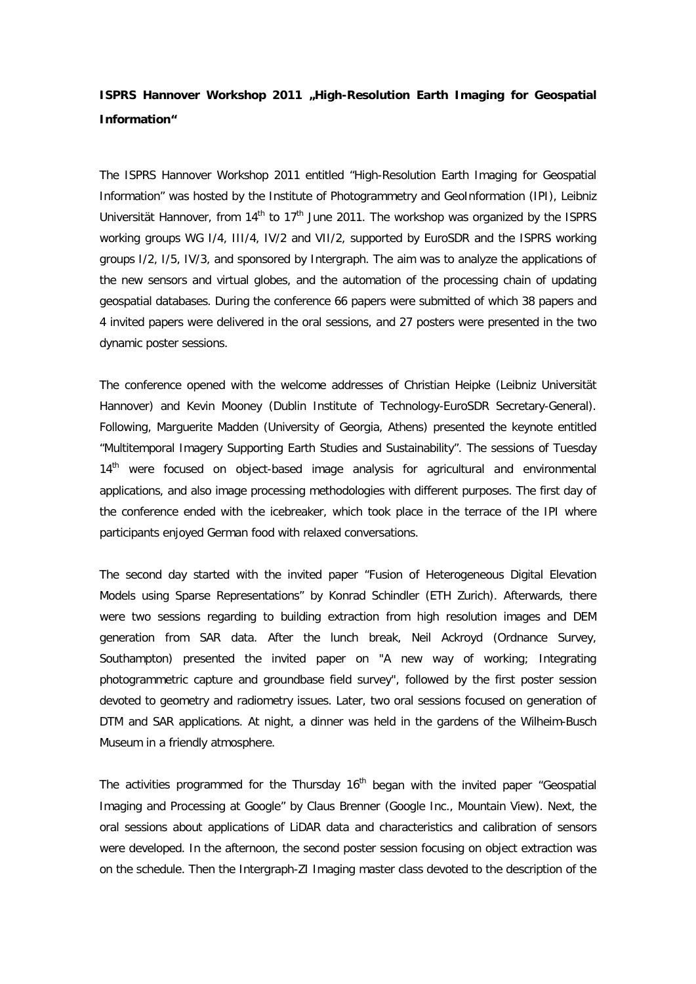## **ISPRS Hannover Workshop 2011 "High-Resolution Earth Imaging for Geospatial Information"**

The ISPRS Hannover Workshop 2011 entitled "High-Resolution Earth Imaging for Geospatial Information" was hosted by the Institute of Photogrammetry and GeoInformation (IPI), Leibniz Universität Hannover, from  $14<sup>th</sup>$  to  $17<sup>th</sup>$  June 2011. The workshop was organized by the ISPRS working groups WG I/4, III/4, IV/2 and VII/2, supported by EuroSDR and the ISPRS working groups I/2, I/5, IV/3, and sponsored by Intergraph. The aim was to analyze the applications of the new sensors and virtual globes, and the automation of the processing chain of updating geospatial databases. During the conference 66 papers were submitted of which 38 papers and 4 invited papers were delivered in the oral sessions, and 27 posters were presented in the two dynamic poster sessions.

The conference opened with the welcome addresses of Christian Heipke (Leibniz Universität Hannover) and Kevin Mooney (Dublin Institute of Technology-EuroSDR Secretary-General). Following, Marguerite Madden (University of Georgia, Athens) presented the keynote entitled "Multitemporal Imagery Supporting Earth Studies and Sustainability". The sessions of Tuesday 14<sup>th</sup> were focused on object-based image analysis for agricultural and environmental applications, and also image processing methodologies with different purposes. The first day of the conference ended with the icebreaker, which took place in the terrace of the IPI where participants enjoyed German food with relaxed conversations.

The second day started with the invited paper "Fusion of Heterogeneous Digital Elevation Models using Sparse Representations" by Konrad Schindler (ETH Zurich). Afterwards, there were two sessions regarding to building extraction from high resolution images and DEM generation from SAR data. After the lunch break, Neil Ackroyd (Ordnance Survey, Southampton) presented the invited paper on "A new way of working; Integrating photogrammetric capture and groundbase field survey", followed by the first poster session devoted to geometry and radiometry issues. Later, two oral sessions focused on generation of DTM and SAR applications. At night, a dinner was held in the gardens of the Wilheim-Busch Museum in a friendly atmosphere.

The activities programmed for the Thursday  $16<sup>th</sup>$  began with the invited paper "Geospatial Imaging and Processing at Google" by Claus Brenner (Google Inc., Mountain View). Next, the oral sessions about applications of LiDAR data and characteristics and calibration of sensors were developed. In the afternoon, the second poster session focusing on object extraction was on the schedule. Then the Intergraph-ZI Imaging master class devoted to the description of the